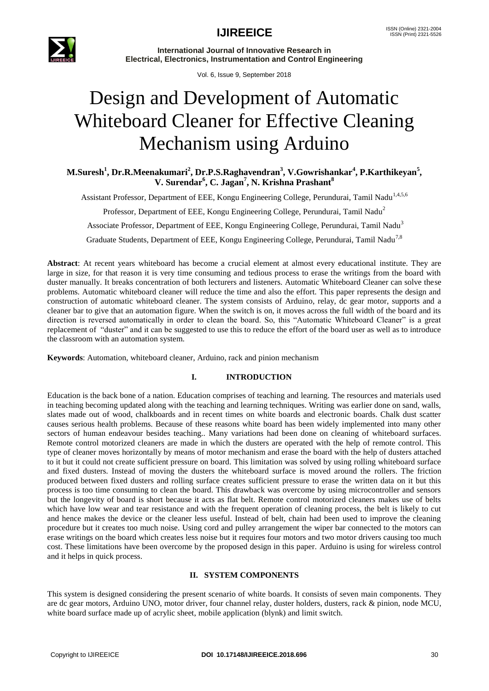

**International Journal of Innovative Research in Electrical, Electronics, Instrumentation and Control Engineering**

Vol. 6, Issue 9, September 2018

# Design and Development of Automatic Whiteboard Cleaner for Effective Cleaning Mechanism using Arduino

**M.Suresh<sup>1</sup> , Dr.R.Meenakumari<sup>2</sup> , Dr.P.S.Raghavendran<sup>3</sup> , V.Gowrishankar<sup>4</sup> , P.Karthikeyan<sup>5</sup> , V. Surendar<sup>6</sup> , C. Jagan<sup>7</sup> , N. Krishna Prashant<sup>8</sup>**

Assistant Professor, Department of EEE, Kongu Engineering College, Perundurai, Tamil Nadu<sup>1,4,5,6</sup>

Professor, Department of EEE, Kongu Engineering College, Perundurai, Tamil Nadu<sup>2</sup>

Associate Professor, Department of EEE, Kongu Engineering College, Perundurai, Tamil Nadu<sup>3</sup>

Graduate Students, Department of EEE, Kongu Engineering College, Perundurai, Tamil Nadu<sup>7,8</sup>

**Abstract**: At recent years whiteboard has become a crucial element at almost every educational institute. They are large in size, for that reason it is very time consuming and tedious process to erase the writings from the board with duster manually. It breaks concentration of both lecturers and listeners. Automatic Whiteboard Cleaner can solve these problems. Automatic whiteboard cleaner will reduce the time and also the effort. This paper represents the design and construction of automatic whiteboard cleaner. The system consists of Arduino, relay, dc gear motor, supports and a cleaner bar to give that an automation figure. When the switch is on, it moves across the full width of the board and its direction is reversed automatically in order to clean the board. So, this "Automatic Whiteboard Cleaner" is a great replacement of "duster" and it can be suggested to use this to reduce the effort of the board user as well as to introduce the classroom with an automation system.

**Keywords**: Automation, whiteboard cleaner, Arduino, rack and pinion mechanism

### **I. INTRODUCTION**

Education is the back bone of a nation. Education comprises of teaching and learning. The resources and materials used in teaching becoming updated along with the teaching and learning techniques. Writing was earlier done on sand, walls, slates made out of wood, chalkboards and in recent times on white boards and electronic boards. Chalk dust scatter causes serious health problems. Because of these reasons white board has been widely implemented into many other sectors of human endeavour besides teaching.. Many variations had been done on cleaning of whiteboard surfaces. Remote control motorized cleaners are made in which the dusters are operated with the help of remote control. This type of cleaner moves horizontally by means of motor mechanism and erase the board with the help of dusters attached to it but it could not create sufficient pressure on board. This limitation was solved by using rolling whiteboard surface and fixed dusters. Instead of moving the dusters the whiteboard surface is moved around the rollers. The friction produced between fixed dusters and rolling surface creates sufficient pressure to erase the written data on it but this process is too time consuming to clean the board. This drawback was overcome by using microcontroller and sensors but the longevity of board is short because it acts as flat belt. Remote control motorized cleaners makes use of belts which have low wear and tear resistance and with the frequent operation of cleaning process, the belt is likely to cut and hence makes the device or the cleaner less useful. Instead of belt, chain had been used to improve the cleaning procedure but it creates too much noise. Using cord and pulley arrangement the wiper bar connected to the motors can erase writings on the board which creates less noise but it requires four motors and two motor drivers causing too much cost. These limitations have been overcome by the proposed design in this paper. Arduino is using for wireless control and it helps in quick process.

### **II. SYSTEM COMPONENTS**

This system is designed considering the present scenario of white boards. It consists of seven main components. They are dc gear motors, Arduino UNO, motor driver, four channel relay, duster holders, dusters, rack & pinion, node MCU, white board surface made up of acrylic sheet, mobile application (blynk) and limit switch.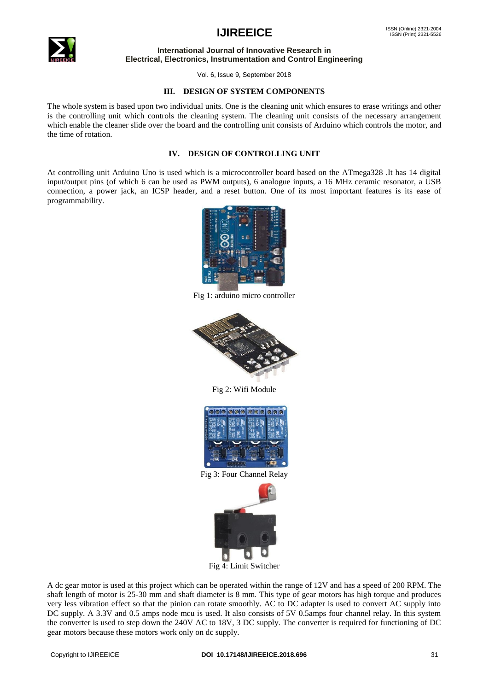

# **IJIREEICE ISSN** (Online) 2321-2004

#### **International Journal of Innovative Research in Electrical, Electronics, Instrumentation and Control Engineering**

Vol. 6, Issue 9, September 2018

#### **III. DESIGN OF SYSTEM COMPONENTS**

The whole system is based upon two individual units. One is the cleaning unit which ensures to erase writings and other is the controlling unit which controls the cleaning system. The cleaning unit consists of the necessary arrangement which enable the cleaner slide over the board and the controlling unit consists of Arduino which controls the motor, and the time of rotation.

### **IV. DESIGN OF CONTROLLING UNIT**

At controlling unit Arduino Uno is used which is a microcontroller board based on the ATmega328 .It has 14 digital input/output pins (of which 6 can be used as PWM outputs), 6 analogue inputs, a 16 MHz ceramic resonator, a USB connection, a power jack, an ICSP header, and a reset button. One of its most important features is its ease of programmability.



Fig 1: arduino micro controller



Fig 2: Wifi Module



Fig 3: Four Channel Relay



Fig 4: Limit Switcher

A dc gear motor is used at this project which can be operated within the range of 12V and has a speed of 200 RPM. The shaft length of motor is 25-30 mm and shaft diameter is 8 mm. This type of gear motors has high torque and produces very less vibration effect so that the pinion can rotate smoothly. AC to DC adapter is used to convert AC supply into DC supply. A 3.3V and 0.5 amps node mcu is used. It also consists of 5V 0.5amps four channel relay. In this system the converter is used to step down the 240V AC to 18V, 3 DC supply. The converter is required for functioning of DC gear motors because these motors work only on dc supply.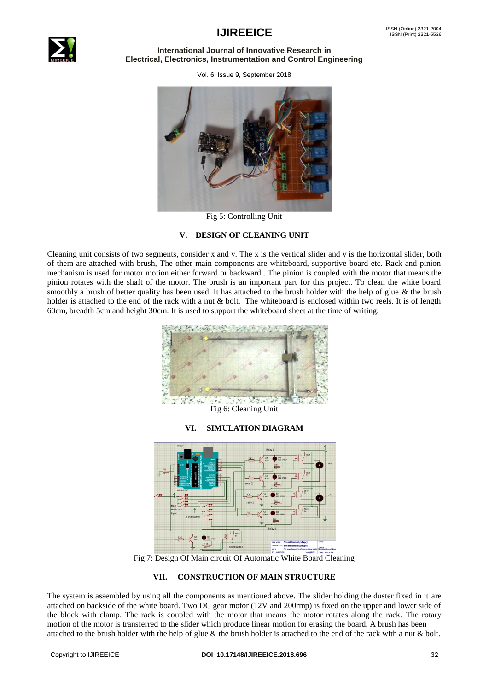

#### **International Journal of Innovative Research in Electrical, Electronics, Instrumentation and Control Engineering**

Vol. 6, Issue 9, September 2018



Fig 5: Controlling Unit

### **V. DESIGN OF CLEANING UNIT**

Cleaning unit consists of two segments, consider x and y. The x is the vertical slider and y is the horizontal slider, both of them are attached with brush, The other main components are whiteboard, supportive board etc. Rack and pinion mechanism is used for motor motion either forward or backward . The pinion is coupled with the motor that means the pinion rotates with the shaft of the motor. The brush is an important part for this project. To clean the white board smoothly a brush of better quality has been used. It has attached to the brush holder with the help of glue & the brush holder is attached to the end of the rack with a nut  $&$  bolt. The whiteboard is enclosed within two reels. It is of length 60cm, breadth 5cm and height 30cm. It is used to support the whiteboard sheet at the time of writing.



Fig 6: Cleaning Unit

### **VI. SIMULATION DIAGRAM**



Fig 7: Design Of Main circuit Of Automatic White Board Cleaning

#### **VII. CONSTRUCTION OF MAIN STRUCTURE**

The system is assembled by using all the components as mentioned above. The slider holding the duster fixed in it are attached on backside of the white board. Two DC gear motor (12V and 200rmp) is fixed on the upper and lower side of the block with clamp. The rack is coupled with the motor that means the motor rotates along the rack. The rotary motion of the motor is transferred to the slider which produce linear motion for erasing the board. A brush has been attached to the brush holder with the help of glue  $\&$  the brush holder is attached to the end of the rack with a nut  $\&$  bolt.